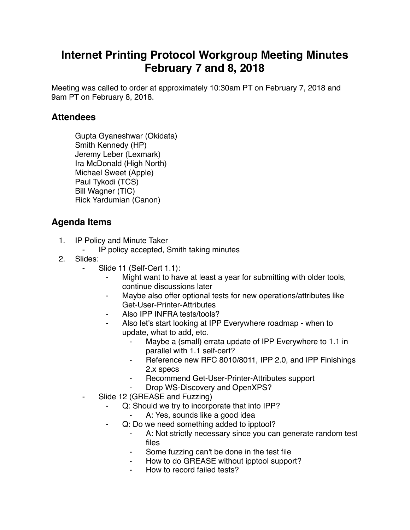## **Internet Printing Protocol Workgroup Meeting Minutes February 7 and 8, 2018**

Meeting was called to order at approximately 10:30am PT on February 7, 2018 and 9am PT on February 8, 2018.

## **Attendees**

Gupta Gyaneshwar (Okidata) Smith Kennedy (HP) Jeremy Leber (Lexmark) Ira McDonald (High North) Michael Sweet (Apple) Paul Tykodi (TCS) Bill Wagner (TIC) Rick Yardumian (Canon)

## **Agenda Items**

- 1. IP Policy and Minute Taker
	- ⁃ IP policy accepted, Smith taking minutes
- 2. Slides:
	- Slide 11 (Self-Cert 1.1):
		- ⁃ Might want to have at least a year for submitting with older tools, continue discussions later
		- Maybe also offer optional tests for new operations/attributes like Get-User-Printer-Attributes
		- Also IPP INFRA tests/tools?
		- Also let's start looking at IPP Everywhere roadmap when to update, what to add, etc.
			- ⁃ Maybe a (small) errata update of IPP Everywhere to 1.1 in parallel with 1.1 self-cert?
			- Reference new RFC 8010/8011, IPP 2.0, and IPP Finishings 2.x specs
			- ⁃ Recommend Get-User-Printer-Attributes support
			- Drop WS-Discovery and OpenXPS?
	- ⁃ Slide 12 (GREASE and Fuzzing)
		- Q: Should we try to incorporate that into IPP?
			- A: Yes, sounds like a good idea
		- Q: Do we need something added to ipptool?
			- ⁃ A: Not strictly necessary since you can generate random test files
			- Some fuzzing can't be done in the test file
			- How to do GREASE without ipptool support?
			- How to record failed tests?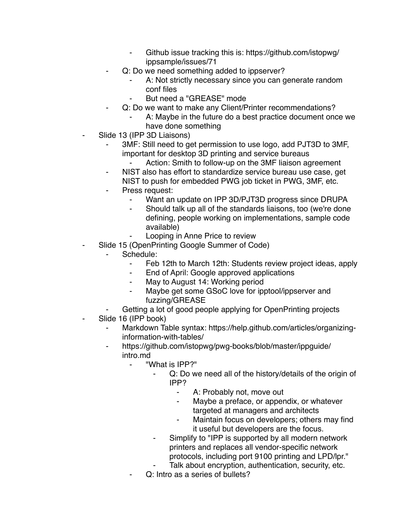- Github issue tracking this is: https://github.com/istopwg/ ippsample/issues/71
- Q: Do we need something added to ippserver?
	- A: Not strictly necessary since you can generate random conf files
	- But need a "GREASE" mode
	- Q: Do we want to make any Client/Printer recommendations?
		- A: Maybe in the future do a best practice document once we have done something
- Slide 13 (IPP 3D Liaisons)
	- ⁃ 3MF: Still need to get permission to use logo, add PJT3D to 3MF, important for desktop 3D printing and service bureaus
		- Action: Smith to follow-up on the 3MF liaison agreement
	- NIST also has effort to standardize service bureau use case, get NIST to push for embedded PWG job ticket in PWG, 3MF, etc.
	- Press request:
		- ⁃ Want an update on IPP 3D/PJT3D progress since DRUPA
			- Should talk up all of the standards liaisons, too (we're done defining, people working on implementations, sample code available)
		- Looping in Anne Price to review
- Slide 15 (OpenPrinting Google Summer of Code)
	- Schedule:
		- ⁃ Feb 12th to March 12th: Students review project ideas, apply
		- ⁃ End of April: Google approved applications
		- ⁃ May to August 14: Working period
		- ⁃ Maybe get some GSoC love for ipptool/ippserver and fuzzing/GREASE
		- Getting a lot of good people applying for OpenPrinting projects
- Slide 16 (IPP book)
	- Markdown Table syntax: https://help.github.com/articles/organizinginformation-with-tables/
	- https://github.com/istopwg/pwg-books/blob/master/ippguide/ intro.md
		- ⁃ "What is IPP?"
			- Q: Do we need all of the history/details of the origin of IPP?
				- ⁃ A: Probably not, move out
				- Maybe a preface, or appendix, or whatever targeted at managers and architects
				- ⁃ Maintain focus on developers; others may find it useful but developers are the focus.
			- Simplify to "IPP is supported by all modern network printers and replaces all vendor-specific network protocols, including port 9100 printing and LPD/lpr."
			- Talk about encryption, authentication, security, etc.
			- Q: Intro as a series of bullets?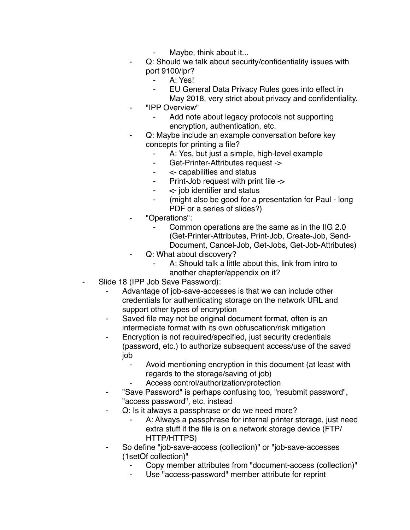- Maybe, think about it...
- Q: Should we talk about security/confidentiality issues with port 9100/lpr?
	- A: Yes!
	- ⁃ EU General Data Privacy Rules goes into effect in
	- May 2018, very strict about privacy and confidentiality.
- ⁃ "IPP Overview"
	- Add note about legacy protocols not supporting encryption, authentication, etc.
- Q: Maybe include an example conversation before key concepts for printing a file?
	- A: Yes, but just a simple, high-level example
	- ⁃ Get-Printer-Attributes request ->
	- ⁃ <- capabilities and status
	- ⁃ Print-Job request with print file ->
	- ⁃ <- job identifier and status
	- ⁃ (might also be good for a presentation for Paul long PDF or a series of slides?)
- ⁃ "Operations":
	- Common operations are the same as in the IIG 2.0 (Get-Printer-Attributes, Print-Job, Create-Job, Send-Document, Cancel-Job, Get-Jobs, Get-Job-Attributes)
	- Q: What about discovery?
		- A: Should talk a little about this, link from intro to another chapter/appendix on it?
- Slide 18 (IPP Job Save Password):
	- Advantage of job-save-accesses is that we can include other credentials for authenticating storage on the network URL and support other types of encryption
	- Saved file may not be original document format, often is an intermediate format with its own obfuscation/risk mitigation
	- ⁃ Encryption is not required/specified, just security credentials (password, etc.) to authorize subsequent access/use of the saved job
		- ⁃ Avoid mentioning encryption in this document (at least with regards to the storage/saving of job)
		- Access control/authorization/protection
	- ⁃ "Save Password" is perhaps confusing too, "resubmit password", "access password", etc. instead
	- Q: Is it always a passphrase or do we need more?
		- A: Always a passphrase for internal printer storage, just need extra stuff if the file is on a network storage device (FTP/ HTTP/HTTPS)
	- So define "job-save-access (collection)" or "job-save-accesses (1setOf collection)"
		- ⁃ Copy member attributes from "document-access (collection)"
		- Use "access-password" member attribute for reprint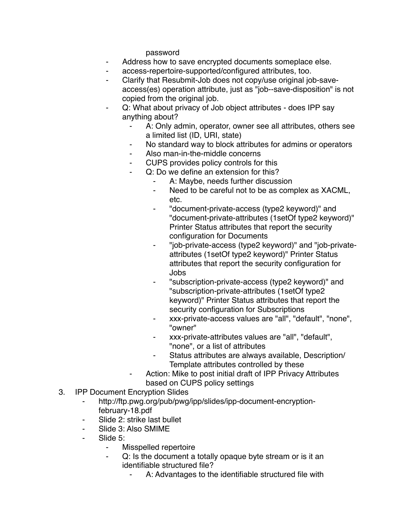password

- ⁃ Address how to save encrypted documents someplace else.
- ⁃ access-repertoire-supported/configured attributes, too.
- Clarify that Resubmit-Job does not copy/use original job-saveaccess(es) operation attribute, just as "job--save-disposition" is not copied from the original job.
- Q: What about privacy of Job object attributes does IPP say anything about?
	- A: Only admin, operator, owner see all attributes, others see a limited list (ID, URI, state)
	- No standard way to block attributes for admins or operators
	- ⁃ Also man-in-the-middle concerns
	- ⁃ CUPS provides policy controls for this
	- Q: Do we define an extension for this?
		- A: Maybe, needs further discussion
		- ⁃ Need to be careful not to be as complex as XACML, etc.
		- ⁃ "document-private-access (type2 keyword)" and "document-private-attributes (1setOf type2 keyword)" Printer Status attributes that report the security configuration for Documents
		- ⁃ "job-private-access (type2 keyword)" and "job-privateattributes (1setOf type2 keyword)" Printer Status attributes that report the security configuration for Jobs
		- ⁃ "subscription-private-access (type2 keyword)" and "subscription-private-attributes (1setOf type2 keyword)" Printer Status attributes that report the security configuration for Subscriptions
		- ⁃ xxx-private-access values are "all", "default", "none", "owner"
		- ⁃ xxx-private-attributes values are "all", "default", "none", or a list of attributes
		- Status attributes are always available, Description/ Template attributes controlled by these
		- Action: Mike to post initial draft of IPP Privacy Attributes based on CUPS policy settings
- 3. IPP Document Encryption Slides
	- http://ftp.pwg.org/pub/pwg/ipp/slides/ipp-document-encryptionfebruary-18.pdf
	- Slide 2: strike last bullet
	- ⁃ Slide 3: Also SMIME
	- Slide 5:
		- ⁃ Misspelled repertoire
		- ⁃ Q: Is the document a totally opaque byte stream or is it an identifiable structured file?
			- A: Advantages to the identifiable structured file with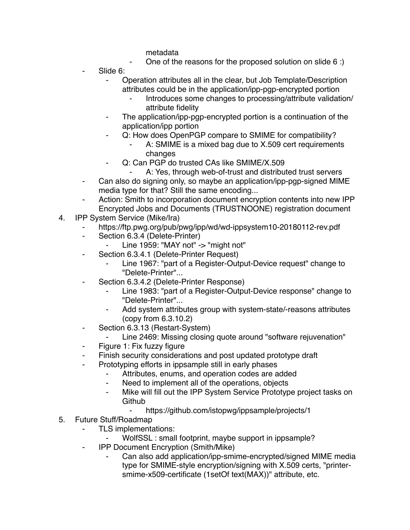metadata

- One of the reasons for the proposed solution on slide  $6$  :)
- Slide 6:
	- ⁃ Operation attributes all in the clear, but Job Template/Description attributes could be in the application/ipp-pgp-encrypted portion
		- Introduces some changes to processing/attribute validation/ attribute fidelity
	- The application/ipp-pgp-encrypted portion is a continuation of the application/ipp portion
	- ⁃ Q: How does OpenPGP compare to SMIME for compatibility?
		- A: SMIME is a mixed bag due to X.509 cert requirements changes
	- Q: Can PGP do trusted CAs like SMIME/X.509
		- A: Yes, through web-of-trust and distributed trust servers
- ⁃ Can also do signing only, so maybe an application/ipp-pgp-signed MIME media type for that? Still the same encoding...
- Action: Smith to incorporation document encryption contents into new IPP Encrypted Jobs and Documents (TRUSTNOONE) registration document
- 4. IPP System Service (Mike/Ira)
	- https://ftp.pwg.org/pub/pwg/ipp/wd/wd-ippsystem10-20180112-rev.pdf
	- ⁃ Section 6.3.4 (Delete-Printer)
		- ⁃ Line 1959: "MAY not" -> "might not"
	- Section 6.3.4.1 (Delete-Printer Request)
		- Line 1967: "part of a Register-Output-Device request" change to "Delete-Printer"...
	- ⁃ Section 6.3.4.2 (Delete-Printer Response)
		- Line 1983: "part of a Register-Output-Device response" change to "Delete-Printer"...
		- Add system attributes group with system-state/-reasons attributes (copy from 6.3.10.2)
	- ⁃ Section 6.3.13 (Restart-System)
		- Line 2469: Missing closing quote around "software rejuvenation"
	- Figure 1: Fix fuzzy figure
	- ⁃ Finish security considerations and post updated prototype draft
	- ⁃ Prototyping efforts in ippsample still in early phases
		- Attributes, enums, and operation codes are added
		- ⁃ Need to implement all of the operations, objects
		- ⁃ Mike will fill out the IPP System Service Prototype project tasks on **Github** 
			- <https://github.com/istopwg/ippsample/projects/1>
- 5. Future Stuff/Roadmap
	- ⁃ TLS implementations:
		- WolfSSL : small footprint, maybe support in ippsample?
	- ⁃ IPP Document Encryption (Smith/Mike)
		- Can also add application/ipp-smime-encrypted/signed MIME media type for SMIME-style encryption/signing with X.509 certs, "printersmime-x509-certificate (1setOf text(MAX))" attribute, etc.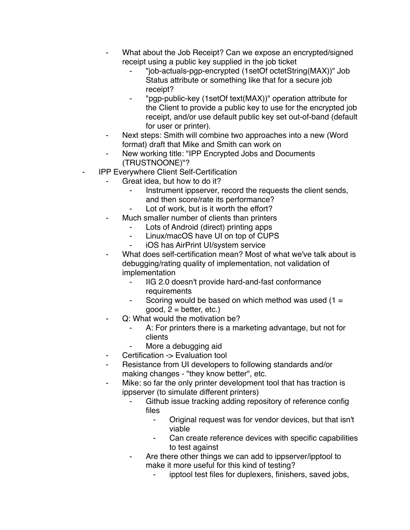- What about the Job Receipt? Can we expose an encrypted/signed receipt using a public key supplied in the job ticket
	- ⁃ "job-actuals-pgp-encrypted (1setOf octetString(MAX))" Job Status attribute or something like that for a secure job receipt?
	- ⁃ "pgp-public-key (1setOf text(MAX))" operation attribute for the Client to provide a public key to use for the encrypted job receipt, and/or use default public key set out-of-band (default for user or printer).
- ⁃ Next steps: Smith will combine two approaches into a new (Word format) draft that Mike and Smith can work on
- New working title: "IPP Encrypted Jobs and Documents (TRUSTNOONE)"?
- **IPP Everywhere Client Self-Certification** 
	- Great idea, but how to do it?
		- Instrument ippserver, record the requests the client sends, and then score/rate its performance?
			- Lot of work, but is it worth the effort?
	- Much smaller number of clients than printers
		- Lots of Android (direct) printing apps
		- ⁃ Linux/macOS have UI on top of CUPS
		- ⁃ iOS has AirPrint UI/system service
	- What does self-certification mean? Most of what we've talk about is debugging/rating quality of implementation, not validation of implementation
		- ⁃ IIG 2.0 doesn't provide hard-and-fast conformance requirements
		- Scoring would be based on which method was used  $(1 =$  $good, 2 = better, etc.)$
		- Q: What would the motivation be?
			- A: For printers there is a marketing advantage, but not for clients
			- More a debugging aid
	- Certification -> Evaluation tool
	- Resistance from UI developers to following standards and/or making changes - "they know better", etc.
	- ⁃ Mike: so far the only printer development tool that has traction is ippserver (to simulate different printers)
		- Github issue tracking adding repository of reference config files
			- ⁃ Original request was for vendor devices, but that isn't viable
			- Can create reference devices with specific capabilities to test against
		- ⁃ Are there other things we can add to ippserver/ipptool to make it more useful for this kind of testing?
			- ipptool test files for duplexers, finishers, saved jobs,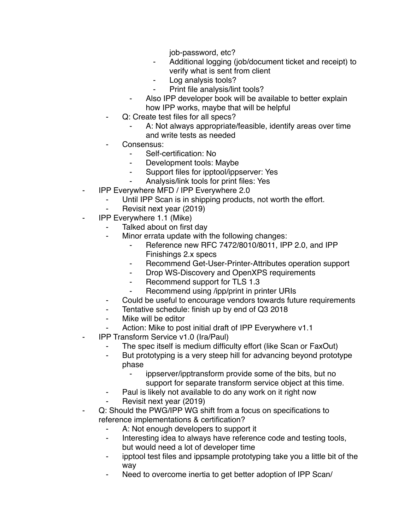job-password, etc?

- ⁃ Additional logging (job/document ticket and receipt) to verify what is sent from client
- ⁃ Log analysis tools?
- ⁃ Print file analysis/lint tools?
- Also IPP developer book will be available to better explain how IPP works, maybe that will be helpful
- Q: Create test files for all specs?
	- A: Not always appropriate/feasible, identify areas over time and write tests as needed
- Consensus:
	- ⁃ Self-certification: No
	- Development tools: Maybe
	- ⁃ Support files for ipptool/ippserver: Yes
	- Analysis/link tools for print files: Yes
- **IPP Everywhere MFD / IPP Everywhere 2.0** 
	- Until IPP Scan is in shipping products, not worth the effort.
	- Revisit next year (2019)
- ⁃ IPP Everywhere 1.1 (Mike)
	- ⁃ Talked about on first day
	- ⁃ Minor errata update with the following changes:
		- Reference new RFC 7472/8010/8011, IPP 2.0, and IPP Finishings 2.x specs
		- ⁃ Recommend Get-User-Printer-Attributes operation support
		- ⁃ Drop WS-Discovery and OpenXPS requirements
		- Recommend support for TLS 1.3
		- ⁃ Recommend using /ipp/print in printer URIs
	- ⁃ Could be useful to encourage vendors towards future requirements
	- Tentative schedule: finish up by end of Q3 2018
	- Mike will be editor
	- Action: Mike to post initial draft of IPP Everywhere v1.1
- ⁃ IPP Transform Service v1.0 (Ira/Paul)
	- The spec itself is medium difficulty effort (like Scan or FaxOut)
	- ⁃ But prototyping is a very steep hill for advancing beyond prototype phase
		- ippserver/ipptransform provide some of the bits, but no support for separate transform service object at this time.
	- Paul is likely not available to do any work on it right now
	- Revisit next year (2019)
- ⁃ Q: Should the PWG/IPP WG shift from a focus on specifications to reference implementations & certification?
	- ⁃ A: Not enough developers to support it
	- ⁃ Interesting idea to always have reference code and testing tools, but would need a lot of developer time
	- ⁃ ipptool test files and ippsample prototyping take you a little bit of the way
	- Need to overcome inertia to get better adoption of IPP Scan/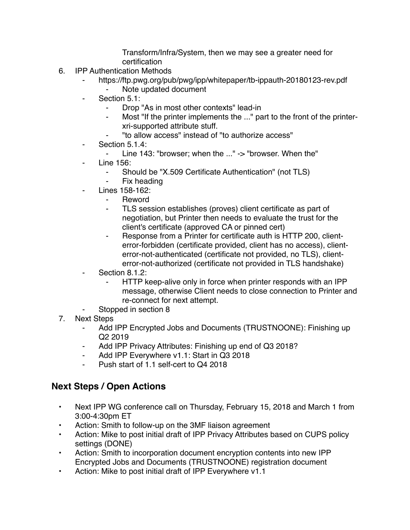Transform/Infra/System, then we may see a greater need for certification

- 6. IPP Authentication Methods
	- https://ftp.pwg.org/pub/pwg/ipp/whitepaper/tb-ippauth-20180123-rev.pdf
		- ⁃ Note updated document
	- Section 5.1:
		- ⁃ Drop "As in most other contexts" lead-in
		- Most "If the printer implements the ..." part to the front of the printerxri-supported attribute stuff.
		- ⁃ "to allow access" instead of "to authorize access"
	- Section 5.1.4:
		- ⁃ Line 143: "browser; when the ..." -> "browser. When the"
	- **Line 156:** 
		- ⁃ Should be "X.509 Certificate Authentication" (not TLS)
		- Fix heading
	- Lines 158-162:
		- ⁃ Reword
		- TLS session establishes (proves) client certificate as part of negotiation, but Printer then needs to evaluate the trust for the client's certificate (approved CA or pinned cert)
		- ⁃ Response from a Printer for certificate auth is HTTP 200, clienterror-forbidden (certificate provided, client has no access), clienterror-not-authenticated (certificate not provided, no TLS), clienterror-not-authorized (certificate not provided in TLS handshake)
	- Section 8.1.2:
		- HTTP keep-alive only in force when printer responds with an IPP message, otherwise Client needs to close connection to Printer and re-connect for next attempt.
	- Stopped in section 8
- 7. Next Steps
	- Add IPP Encrypted Jobs and Documents (TRUSTNOONE): Finishing up Q2 2019
	- Add IPP Privacy Attributes: Finishing up end of Q3 2018?
	- Add IPP Everywhere v1.1: Start in Q3 2018
	- ⁃ Push start of 1.1 self-cert to Q4 2018

## **Next Steps / Open Actions**

- Next IPP WG conference call on Thursday, February 15, 2018 and March 1 from 3:00-4:30pm ET
- Action: Smith to follow-up on the 3MF liaison agreement
- Action: Mike to post initial draft of IPP Privacy Attributes based on CUPS policy settings (DONE)
- Action: Smith to incorporation document encryption contents into new IPP Encrypted Jobs and Documents (TRUSTNOONE) registration document
- Action: Mike to post initial draft of IPP Everywhere v1.1